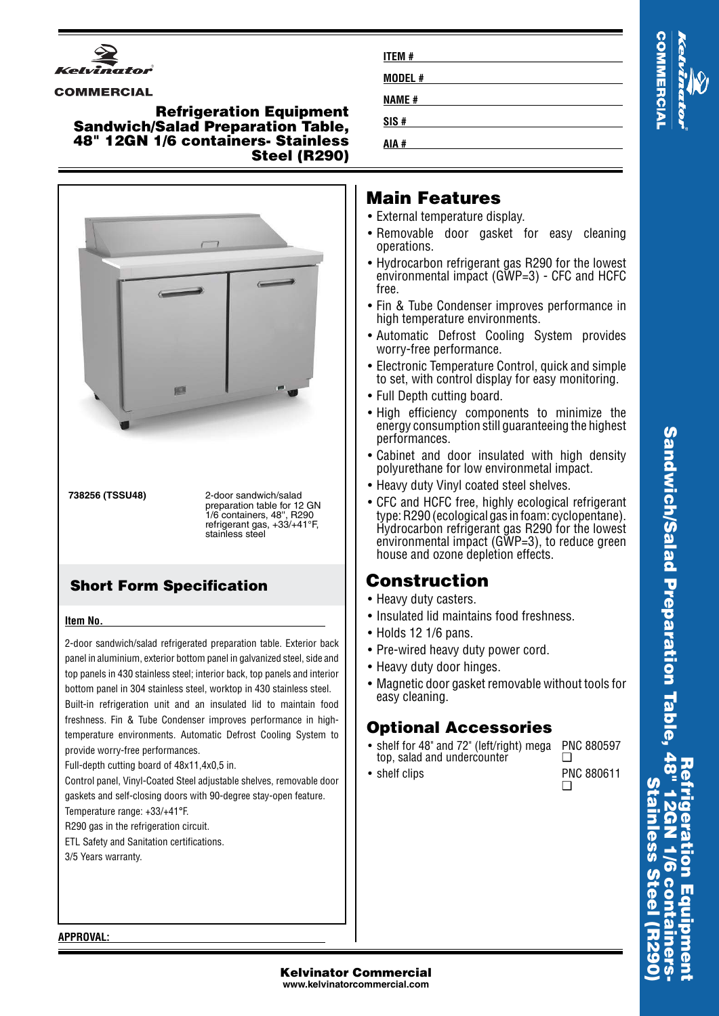

#### **COMMERCIAL**

### **Refrigeration Equipment Sandwich/Salad Preparation Table, 48" 12GN 1/6 containers- Stainless Steel (R290)**



**738256 (TSSU48)** 2-door sandwich/salad preparation table for 12 GN 1/6 containers, 48'', R290 refrigerant gas, +33/+41°F, stainless steel

### **Short Form Specification**

#### **Item No.**

2-door sandwich/salad refrigerated preparation table. Exterior back panel in aluminium, exterior bottom panel in galvanized steel, side and top panels in 430 stainless steel; interior back, top panels and interior bottom panel in 304 stainless steel, worktop in 430 stainless steel. Built-in refrigeration unit and an insulated lid to maintain food freshness. Fin & Tube Condenser improves performance in hightemperature environments. Automatic Defrost Cooling System to provide worry-free performances.

Full-depth cutting board of 48x11,4x0,5 in.

Control panel, Vinyl-Coated Steel adjustable shelves, removable door gaskets and self-closing doors with 90-degree stay-open feature. Temperature range: +33/+41°F.

R290 gas in the refrigeration circuit.

- 
- ETL Safety and Sanitation certifications.

3/5 Years warranty.

| <b>ITEM#</b> |  |
|--------------|--|
| MODEL#       |  |
| <b>NAME#</b> |  |
| SIS#         |  |
| AIA #        |  |

# **Main Features**

- External temperature display.
- Removable door gasket for easy cleaning operations.
- Hydrocarbon refrigerant gas R290 for the lowest environmental impact (GWP=3) - CFC and HCFC free.
- Fin & Tube Condenser improves performance in high temperature environments.
- Automatic Defrost Cooling System provides worry-free performance.
- Electronic Temperature Control, quick and simple to set, with control display for easy monitoring.
- Full Depth cutting board.
- High efficiency components to minimize the energy consumption still guaranteeing the highest performances.
- Cabinet and door insulated with high density polyurethane for low environmetal impact.
- Heavy duty Vinyl coated steel shelves.
- CFC and HCFC free, highly ecological refrigerant type: R290 (ecological gas in foam: cyclopentane). Hydrocarbon refrigerant gas R290 for the lowest environmental impact (GWP=3), to reduce green house and ozone depletion effects.

# **Construction**

- Heavy duty casters.
- Insulated lid maintains food freshness.
- Holds 12 1/6 pans.
- Pre-wired heavy duty power cord.
- Heavy duty door hinges.
- Magnetic door gasket removable without tools for easy cleaning.

## **Optional Accessories**

- • shelf for 48" and 72" (left/right) mega top, salad and undercounter  $\Box$
- shelf clips PNC 880611
- PNC 880597
	- $\Box$

**COMMERCIAL** 

**APPROVAL:**